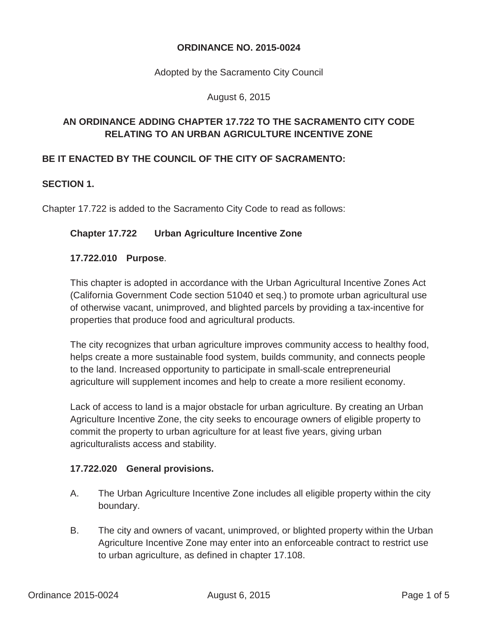#### **ORDINANCE NO. 2015-0024**

Adopted by the Sacramento City Council

August 6, 2015

## **AN ORDINANCE ADDING CHAPTER 17.722 TO THE SACRAMENTO CITY CODE RELATING TO AN URBAN AGRICULTURE INCENTIVE ZONE**

## **BE IT ENACTED BY THE COUNCIL OF THE CITY OF SACRAMENTO:**

#### **SECTION 1.**

Chapter 17.722 is added to the Sacramento City Code to read as follows:

#### **Chapter 17.722 Urban Agriculture Incentive Zone**

#### **17.722.010 Purpose**.

This chapter is adopted in accordance with the Urban Agricultural Incentive Zones Act (California Government Code section 51040 et seq.) to promote urban agricultural use of otherwise vacant, unimproved, and blighted parcels by providing a tax-incentive for properties that produce food and agricultural products.

The city recognizes that urban agriculture improves community access to healthy food, helps create a more sustainable food system, builds community, and connects people to the land. Increased opportunity to participate in small-scale entrepreneurial agriculture will supplement incomes and help to create a more resilient economy.

Lack of access to land is a major obstacle for urban agriculture. By creating an Urban Agriculture Incentive Zone, the city seeks to encourage owners of eligible property to commit the property to urban agriculture for at least five years, giving urban agriculturalists access and stability.

#### **17.722.020 General provisions.**

- A. The Urban Agriculture Incentive Zone includes all eligible property within the city boundary.
- B. The city and owners of vacant, unimproved, or blighted property within the Urban Agriculture Incentive Zone may enter into an enforceable contract to restrict use to urban agriculture, as defined in chapter 17.108.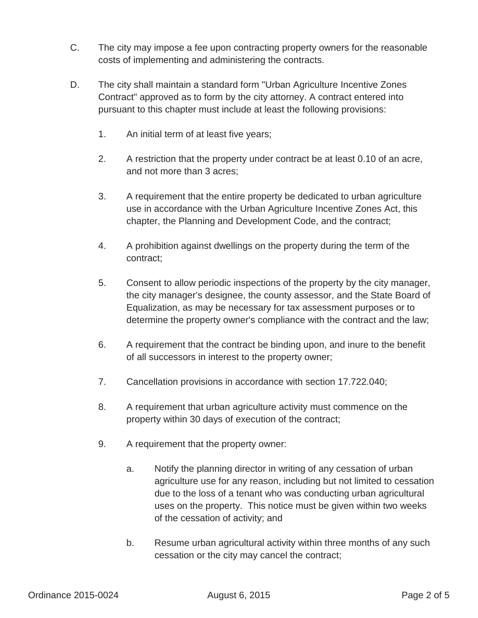- C. The city may impose a fee upon contracting property owners for the reasonable costs of implementing and administering the contracts.
- D. The city shall maintain a standard form "Urban Agriculture Incentive Zones Contract" approved as to form by the city attorney. A contract entered into pursuant to this chapter must include at least the following provisions:
	- 1. An initial term of at least five years;
	- 2. A restriction that the property under contract be at least 0.10 of an acre, and not more than 3 acres;
	- 3. A requirement that the entire property be dedicated to urban agriculture use in accordance with the Urban Agriculture Incentive Zones Act, this chapter, the Planning and Development Code, and the contract;
	- 4. A prohibition against dwellings on the property during the term of the contract;
	- 5. Consent to allow periodic inspections of the property by the city manager, the city manager's designee, the county assessor, and the State Board of Equalization, as may be necessary for tax assessment purposes or to determine the property owner's compliance with the contract and the law;
	- 6. A requirement that the contract be binding upon, and inure to the benefit of all successors in interest to the property owner;
	- 7. Cancellation provisions in accordance with section 17.722.040;
	- 8. A requirement that urban agriculture activity must commence on the property within 30 days of execution of the contract;
	- 9. A requirement that the property owner:
		- a. Notify the planning director in writing of any cessation of urban agriculture use for any reason, including but not limited to cessation due to the loss of a tenant who was conducting urban agricultural uses on the property. This notice must be given within two weeks of the cessation of activity; and
		- b. Resume urban agricultural activity within three months of any such cessation or the city may cancel the contract;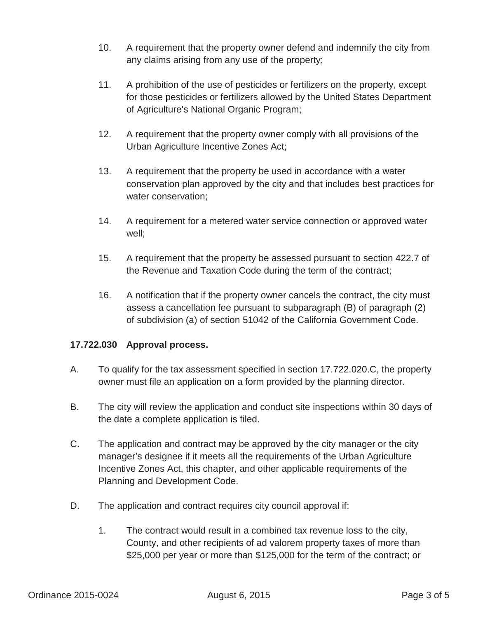- 10. A requirement that the property owner defend and indemnify the city from any claims arising from any use of the property;
- 11. A prohibition of the use of pesticides or fertilizers on the property, except for those pesticides or fertilizers allowed by the United States Department of Agriculture's National Organic Program;
- 12. A requirement that the property owner comply with all provisions of the Urban Agriculture Incentive Zones Act;
- 13. A requirement that the property be used in accordance with a water conservation plan approved by the city and that includes best practices for water conservation;
- 14. A requirement for a metered water service connection or approved water well;
- 15. A requirement that the property be assessed pursuant to section 422.7 of the Revenue and Taxation Code during the term of the contract;
- 16. A notification that if the property owner cancels the contract, the city must assess a cancellation fee pursuant to subparagraph (B) of paragraph (2) of subdivision (a) of section 51042 of the California Government Code.

## **17.722.030 Approval process.**

- A. To qualify for the tax assessment specified in section 17.722.020.C, the property owner must file an application on a form provided by the planning director.
- B. The city will review the application and conduct site inspections within 30 days of the date a complete application is filed.
- C. The application and contract may be approved by the city manager or the city manager's designee if it meets all the requirements of the Urban Agriculture Incentive Zones Act, this chapter, and other applicable requirements of the Planning and Development Code.
- D. The application and contract requires city council approval if:
	- 1. The contract would result in a combined tax revenue loss to the city, County, and other recipients of ad valorem property taxes of more than \$25,000 per year or more than \$125,000 for the term of the contract; or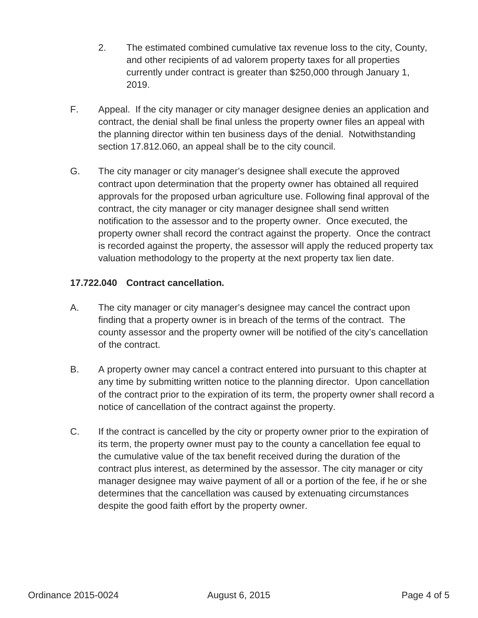- 2. The estimated combined cumulative tax revenue loss to the city, County, and other recipients of ad valorem property taxes for all properties currently under contract is greater than \$250,000 through January 1, 2019.
- F. Appeal. If the city manager or city manager designee denies an application and contract, the denial shall be final unless the property owner files an appeal with the planning director within ten business days of the denial. Notwithstanding section 17.812.060, an appeal shall be to the city council.
- G. The city manager or city manager's designee shall execute the approved contract upon determination that the property owner has obtained all required approvals for the proposed urban agriculture use. Following final approval of the contract, the city manager or city manager designee shall send written notification to the assessor and to the property owner. Once executed, the property owner shall record the contract against the property. Once the contract is recorded against the property, the assessor will apply the reduced property tax valuation methodology to the property at the next property tax lien date.

## **17.722.040 Contract cancellation.**

- A. The city manager or city manager's designee may cancel the contract upon finding that a property owner is in breach of the terms of the contract. The county assessor and the property owner will be notified of the city's cancellation of the contract.
- B. A property owner may cancel a contract entered into pursuant to this chapter at any time by submitting written notice to the planning director. Upon cancellation of the contract prior to the expiration of its term, the property owner shall record a notice of cancellation of the contract against the property.
- C. If the contract is cancelled by the city or property owner prior to the expiration of its term, the property owner must pay to the county a cancellation fee equal to the cumulative value of the tax benefit received during the duration of the contract plus interest, as determined by the assessor. The city manager or city manager designee may waive payment of all or a portion of the fee, if he or she determines that the cancellation was caused by extenuating circumstances despite the good faith effort by the property owner.